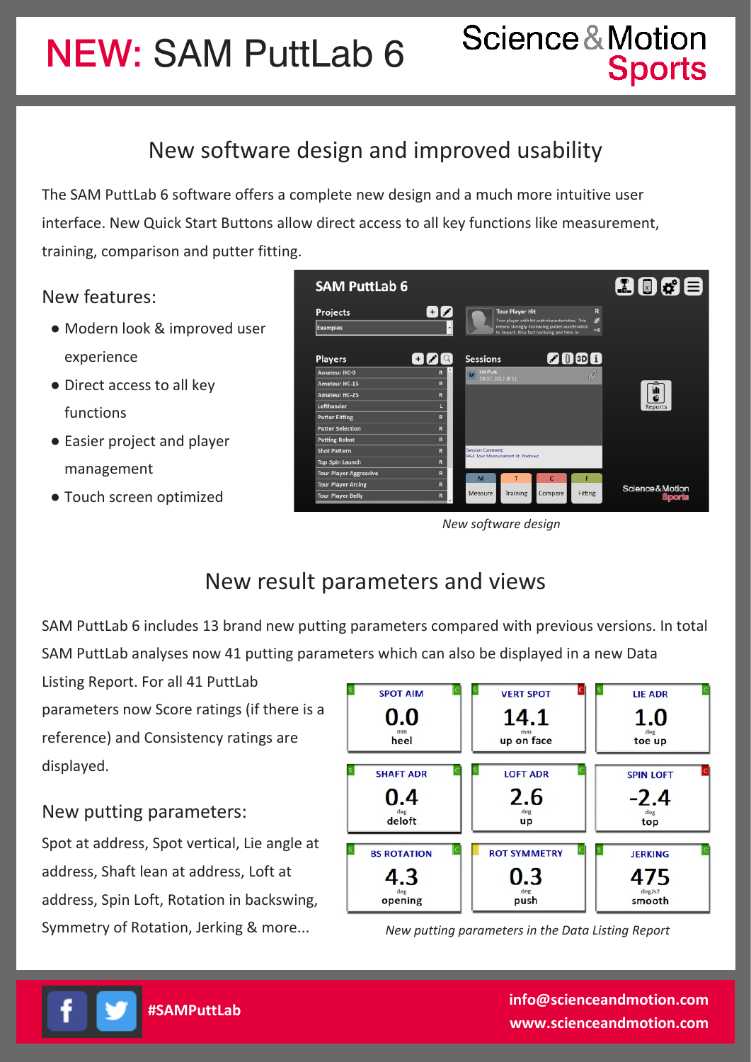NEW: SAM PuttLab 6

## New software design and improved usability

The SAM PuttLab 6 software offers a complete new design and a much more intuitive user interface. New Quick Start Buttons allow direct access to all key functions like measurement, training, comparison and putter fitting.

### New features:

- Modern look & improved user experience
- Direct access to all key functions
- Easier project and player management
- Touch screen optimized



*New software design*

## New result parameters and views

SAM PuttLab 6 includes 13 brand new putting parameters compared with previous versions. In total SAM PuttLab analyses now 41 putting parameters which can also be displayed in a new Data

Listing Report. For all 41 PuttLab parameters now Score ratings (if there is a reference) and Consistency ratings are displayed.

### New putting parameters:

Spot at address, Spot vertical, Lie angle at address, Shaft lean at address, Loft at address, Spin Loft, Rotation in backswing, Symmetry of Rotation, Jerking & more...



*New putting parameters in the Data Listing Report*



**#SAMPuttLab info@scienceandmotion.com www.scienceandmotion.com**